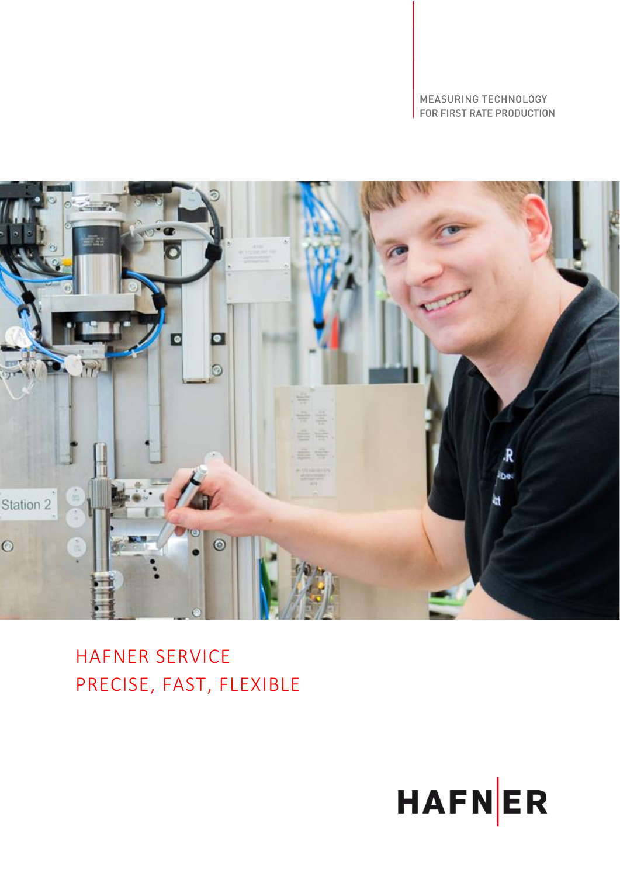MEASURING TECHNOLOGY FOR FIRST RATE PRODUCTION



HAFNER SERVICE PRECISE, FAST, FLEXIBLE

![](_page_0_Picture_3.jpeg)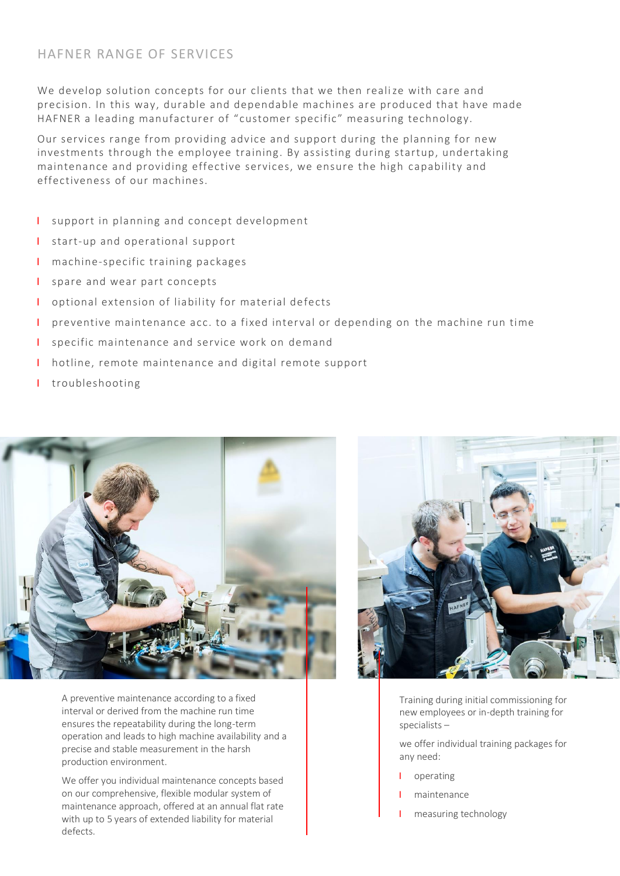## HAFNER RANGE OF SERVICES

We develop solution concepts for our clients that we then realize with care and precision. In this way, durable and dependable machines are produced that have made HAFNER a leading manufacturer of "customer specific" measuring technology.

Our services range from providing advice and support during the planning for new investments through the employee training. By assisting during startup, undertaking maintenance and providing effective services, we ensure the high capability and effectiveness of our machines.

- І support in planning and concept development
- I start-up and operational support
- I machine-specific training packages
- I spare and wear part concepts
- I optional extension of liability for material defects
- І preventive maintenance acc. to a fixed interval or depending on the machine run time
- I specific maintenance and service work on demand
- І hotline, remote maintenance and digital remote support
- І troubleshooting

![](_page_1_Picture_12.jpeg)

A preventive maintenance according to a fixed interval or derived from the machine run time ensures the repeatability during the long-term operation and leads to high machine availability and a precise and stable measurement in the harsh production environment.

We offer you individual maintenance concepts based on our comprehensive, flexible modular system of maintenance approach, offered at an annual flat rate with up to 5 years of extended liability for material defects.

![](_page_1_Picture_15.jpeg)

Training during initial commissioning for new employees or in-depth training for specialists –

we offer individual training packages for any need:

- І operating
- І maintenance
- measuring technology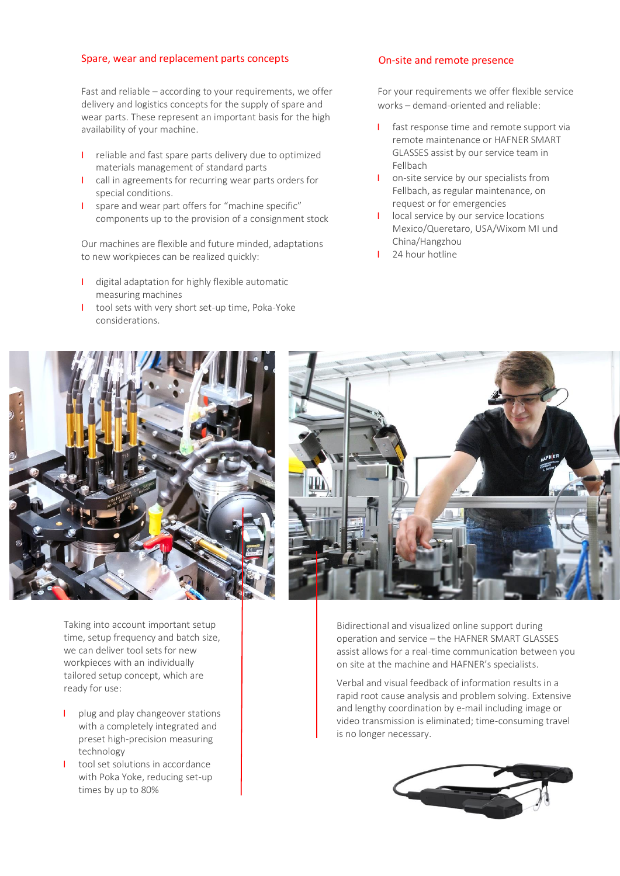## Spare, wear and replacement parts concepts

Fast and reliable – according to your requirements, we offer delivery and logistics concepts for the supply of spare and wear parts. These represent an important basis for the high availability of your machine.

- І reliable and fast spare parts delivery due to optimized materials management of standard parts
- І call in agreements for recurring wear parts orders for special conditions.
- І spare and wear part offers for "machine specific" components up to the provision of a consignment stock

Our machines are flexible and future minded, adaptations to new workpieces can be realized quickly:

- І digital adaptation for highly flexible automatic measuring machines
- I tool sets with very short set-up time, Poka-Yoke considerations.

## On-site and remote presence

For your requirements we offer flexible service works – demand-oriented and reliable:

- I fast response time and remote support via remote maintenance or HAFNER SMART GLASSES assist by our service team in Fellbach
- I on-site service by our specialists from Fellbach, as regular maintenance, on request or for emergencies
- I local service by our service locations Mexico/Queretaro, USA/Wixom MI und China/Hangzhou
- 24 hour hotline

![](_page_2_Picture_14.jpeg)

Taking into account important setup time, setup frequency and batch size, we can deliver tool sets for new workpieces with an individually tailored setup concept, which are ready for use:

- I plug and play changeover stations with a completely integrated and preset high-precision measuring technology
- I tool set solutions in accordance with Poka Yoke, reducing set-up times by up to 80%

![](_page_2_Picture_18.jpeg)

Bidirectional and visualized online support during operation and service – the HAFNER SMART GLASSES assist allows for a real-time communication between you on site at the machine and HAFNER's specialists.

Verbal and visual feedback of information results in a rapid root cause analysis and problem solving. Extensive and lengthy coordination by e-mail including image or video transmission is eliminated; time-consuming travel is no longer necessary.

![](_page_2_Picture_21.jpeg)